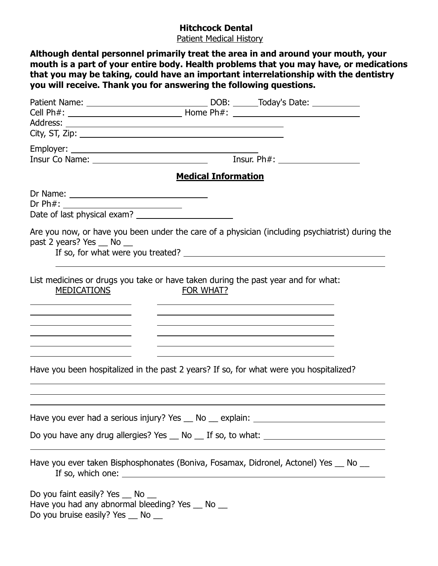## **Hitchcock Dental**

Patient Medical History

|                                                                                                                                                                                                                                                | <b>Medical Information</b>                                                                                                                                                                                                                     |
|------------------------------------------------------------------------------------------------------------------------------------------------------------------------------------------------------------------------------------------------|------------------------------------------------------------------------------------------------------------------------------------------------------------------------------------------------------------------------------------------------|
|                                                                                                                                                                                                                                                |                                                                                                                                                                                                                                                |
| Dr Ph#: _____________________________                                                                                                                                                                                                          |                                                                                                                                                                                                                                                |
| past 2 years? Yes __ No __                                                                                                                                                                                                                     | If so, for what were you treated?                                                                                                                                                                                                              |
| <b>MEDICATIONS</b>                                                                                                                                                                                                                             | List medicines or drugs you take or have taken during the past year and for what:<br>FOR WHAT?                                                                                                                                                 |
| the contract of the contract of the contract of the contract of the contract of<br><u> Andreas Andreas Andreas Andreas Andreas Andreas Andreas Andreas Andreas Andreas Andreas Andreas Andreas Andr</u>                                        | <u> 1990 - Johann Barbert, mars and de finland and de finland and definition of the state of the state of the sta</u><br><u> 1980 - Andrea Santa Alemania, amerikana amerikana amerikana amerikana amerikana amerikana amerikana amerikana</u> |
| <u> 1989 - Johann Barn, mars ann an t-Amhain an t-Amhain ann an t-Amhain an t-Amhain an t-Amhain an t-Amhain ann </u><br><u> 1980 - Johann Barn, mars ann an t-Amhair Aonaichte ann an t-Aonaichte ann an t-Aonaichte ann an t-Aonaichte a</u> | <u> 1990 - Johann Stoff, amerikansk politiker (d. 1980)</u>                                                                                                                                                                                    |
|                                                                                                                                                                                                                                                |                                                                                                                                                                                                                                                |
|                                                                                                                                                                                                                                                | Have you been hospitalized in the past 2 years? If so, for what were you hospitalized?                                                                                                                                                         |
|                                                                                                                                                                                                                                                | Have you ever had a serious injury? Yes __ No __ explain: ______________________                                                                                                                                                               |
|                                                                                                                                                                                                                                                | Do you have any drug allergies? Yes __ No __ If so, to what: ____________________                                                                                                                                                              |
|                                                                                                                                                                                                                                                |                                                                                                                                                                                                                                                |
|                                                                                                                                                                                                                                                | Have you ever taken Bisphosphonates (Boniva, Fosamax, Didronel, Actonel) Yes __ No __                                                                                                                                                          |
| Do you faint easily? Yes _ No _<br>Have you had any abnormal bleeding? Yes _ No _<br>Do you bruise easily? Yes _ No _                                                                                                                          |                                                                                                                                                                                                                                                |